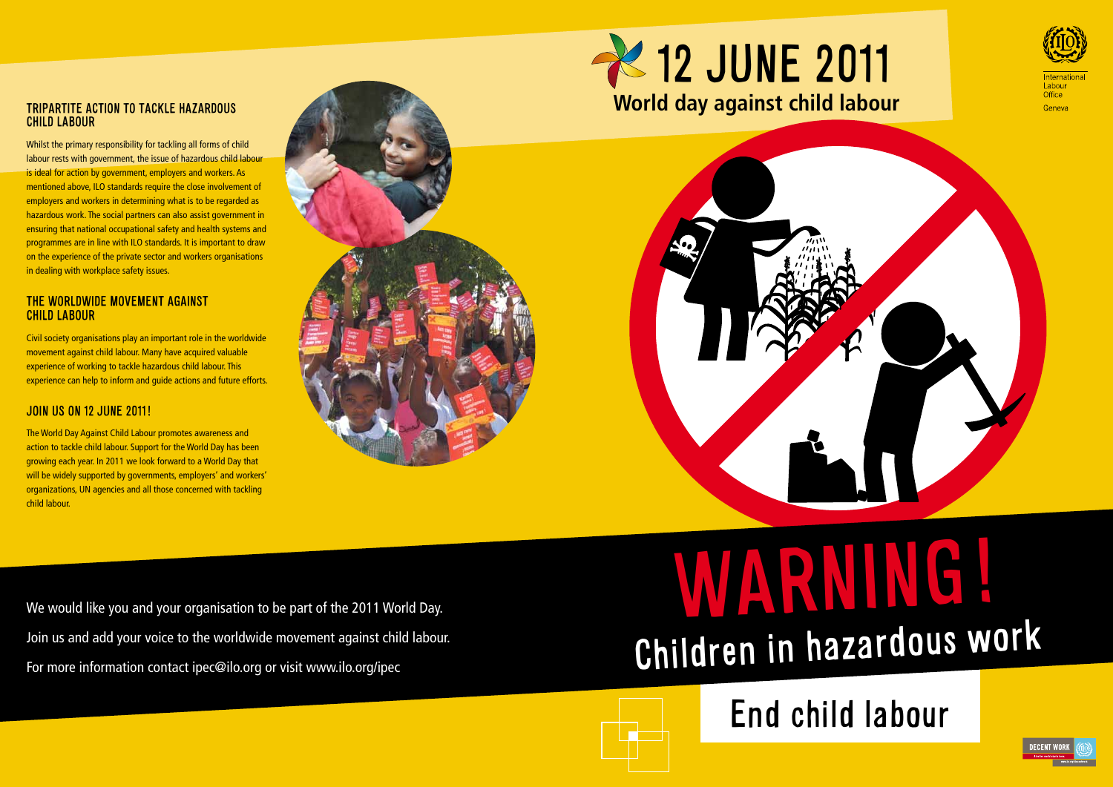

WARNING! Children in hazardous wor<sup>k</sup>





# child labour

Whilst the primary responsibility for tackling all forms of child labour rests with government, the issue of hazardous child labour is ideal for action by government, employers and workers. As mentioned above, ILO standards require the close involvement of employers and workers in determining what is to be regarded as hazardous work. The social partners can also assist government in ensuring that national occupational safety and health systems and programmes are in line with ILO standards. It is important to draw on the experience of the private sector and workers organisations in dealing with workplace safety issues.

### The worldwide movement against child labour

We would like you and your organisation to be part of the 2011 World Day. Join us and add your voice to the worldwide movement against child labour. For more information contact ipec@ilo.org or visit www.ilo.org/ipec



Office

Geneva



Civil society organisations play an important role in the worldwide movement against child labour. Many have acquired valuable experience of working to tackle hazardous child labour. This experience can help to inform and guide actions and future efforts.

# Join us on 12 June 2011!

The World Day Against Child Labour promotes awareness and action to tackle child labour. Support for the World Day has been growing each year. In 2011 we look forward to a World Day that will be widely supported by governments, employers' and workers' organizations, UN agencies and all those concerned with tackling child labour.